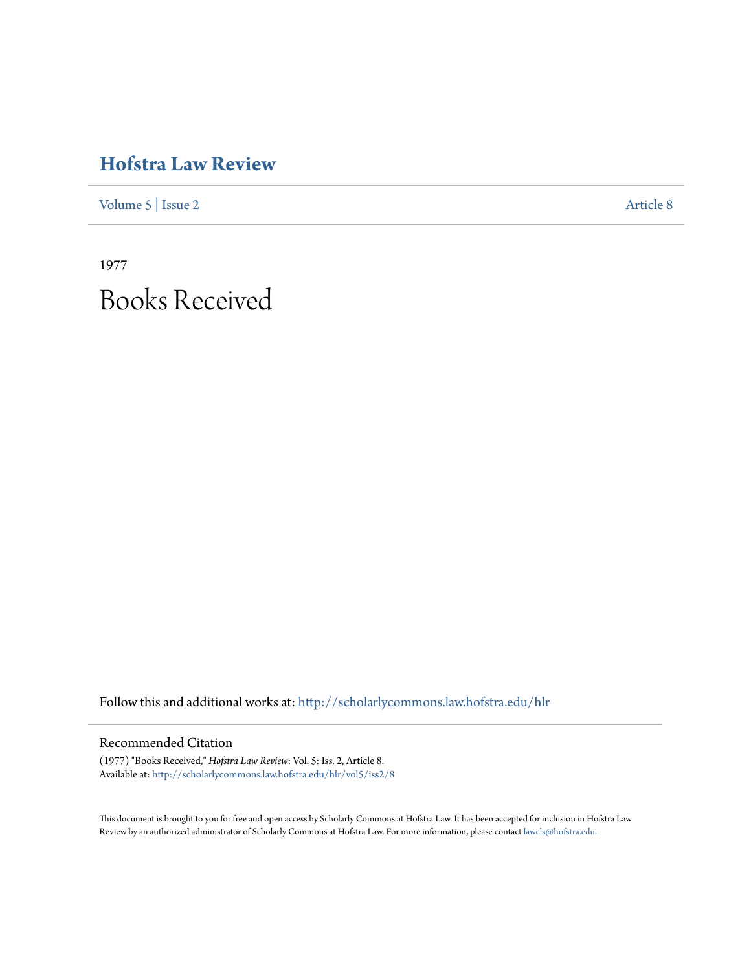## **[Hofstra Law Review](http://scholarlycommons.law.hofstra.edu/hlr?utm_source=scholarlycommons.law.hofstra.edu%2Fhlr%2Fvol5%2Fiss2%2F8&utm_medium=PDF&utm_campaign=PDFCoverPages)**

[Volume 5](http://scholarlycommons.law.hofstra.edu/hlr/vol5?utm_source=scholarlycommons.law.hofstra.edu%2Fhlr%2Fvol5%2Fiss2%2F8&utm_medium=PDF&utm_campaign=PDFCoverPages) | [Issue 2](http://scholarlycommons.law.hofstra.edu/hlr/vol5/iss2?utm_source=scholarlycommons.law.hofstra.edu%2Fhlr%2Fvol5%2Fiss2%2F8&utm_medium=PDF&utm_campaign=PDFCoverPages) [Article 8](http://scholarlycommons.law.hofstra.edu/hlr/vol5/iss2/8?utm_source=scholarlycommons.law.hofstra.edu%2Fhlr%2Fvol5%2Fiss2%2F8&utm_medium=PDF&utm_campaign=PDFCoverPages)

1977 Books Received

Follow this and additional works at: [http://scholarlycommons.law.hofstra.edu/hlr](http://scholarlycommons.law.hofstra.edu/hlr?utm_source=scholarlycommons.law.hofstra.edu%2Fhlr%2Fvol5%2Fiss2%2F8&utm_medium=PDF&utm_campaign=PDFCoverPages)

## Recommended Citation

(1977) "Books Received," *Hofstra Law Review*: Vol. 5: Iss. 2, Article 8. Available at: [http://scholarlycommons.law.hofstra.edu/hlr/vol5/iss2/8](http://scholarlycommons.law.hofstra.edu/hlr/vol5/iss2/8?utm_source=scholarlycommons.law.hofstra.edu%2Fhlr%2Fvol5%2Fiss2%2F8&utm_medium=PDF&utm_campaign=PDFCoverPages)

This document is brought to you for free and open access by Scholarly Commons at Hofstra Law. It has been accepted for inclusion in Hofstra Law Review by an authorized administrator of Scholarly Commons at Hofstra Law. For more information, please contact [lawcls@hofstra.edu](mailto:lawcls@hofstra.edu).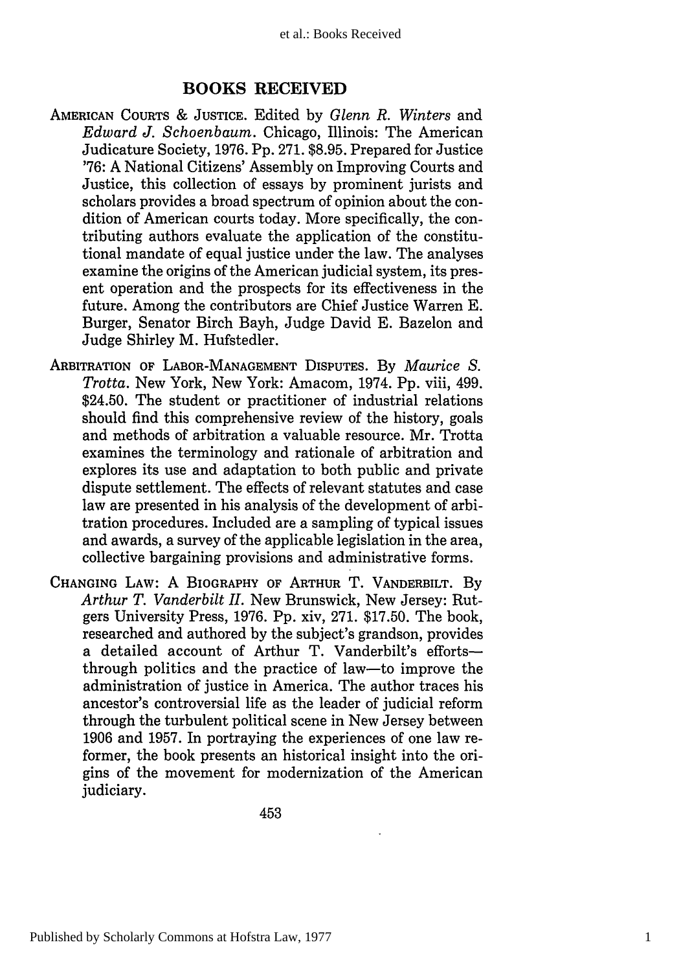## **BOOKS RECEIVED**

- **AMERICAN COURTS & JUSTICE.** Edited by *Glenn R. Winters* and *Edward J. Schoenbaum.* Chicago, Illinois: The American Judicature Society, 1976. Pp. 271. \$8.95. Prepared for Justice '76: A National Citizens' Assembly on Improving Courts and Justice, this collection of essays by prominent jurists and scholars provides a broad spectrum of opinion about the condition of American courts today. More specifically, the contributing authors evaluate the application of the constitutional mandate of equal justice under the law. The analyses examine the origins of the American judicial system, its present operation and the prospects for its effectiveness in the future. Among the contributors are Chief Justice Warren E. Burger, Senator Birch Bayh, Judge David E. Bazelon and Judge Shirley M. Hufstedler.
- ARBITRATION **OF LABOR-MANAGEMENT** DISPUTES. By *Maurice S. Trotta.* New York, New York: Amacom, 1974. Pp. viii, 499. \$24.50. The student or practitioner of industrial relations should find this comprehensive review of the history, goals and methods of arbitration a valuable resource. Mr. Trotta examines the terminology and rationale of arbitration and explores its use and adaptation to both public and private dispute settlement. The effects of relevant statutes and case law are presented in his analysis of the development of arbitration procedures. Included are a sampling of typical issues and awards, a survey of the applicable legislation in the area, collective bargaining provisions and administrative forms.
- **CHANGING LAW: A BIOGRAPHY OF ARTHUR** T. **VANDERBILT. By** *Arthur T. Vanderbilt II.* New Brunswick, New Jersey: Rutgers University Press, **1976. Pp.** xiv, **271. \$17.50.** The book, researched and authored **by** the subject's grandson, provides a detailed account of Arthur T. Vanderbilt's effortsthrough politics and the practice of law-to improve the administration of justice in America. The author traces his ancestor's controversial life as the leader of judicial reform through the turbulent political scene in New Jersey between **1906** and **1957.** In portraying the experiences of one law reformer, the book presents an historical insight into the origins of the movement for modernization of the American judiciary.

453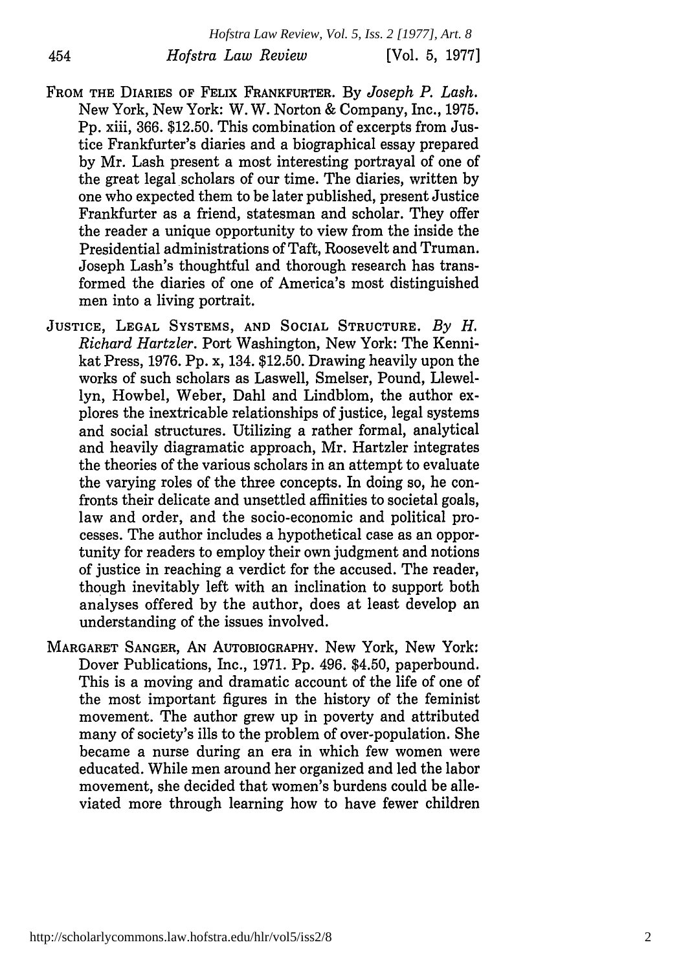FROM THE DIARIES OF FELIX FRANKFURTER. By *Joseph P. Lash.* New York, New York: W. W. Norton & Company, Inc., 1975. Pp. xiii, 366. \$12.50. This combination of excerpts from Justice Frankfurter's diaries and a biographical essay prepared by Mr. Lash present a most interesting portrayal of one of the great legal scholars of our time. The diaries, written by one who expected them to be later published, present Justice Frankfurter as a friend, statesman and scholar. They offer the reader a unique opportunity to view from the inside the Presidential administrations of Taft, Roosevelt and Truman. Joseph Lash's thoughtful and thorough research has transformed the diaries of one of America's most distinguished men into a living portrait.

454

- JUSTICE, **LEGAL SYSTEMS, AND SOCIAL STRUCTURE.** *By H. Richard Hartzler.* Port Washington, New York: The Kennikat Press, 1976. Pp. x, 134. \$12.50. Drawing heavily upon the works of such scholars as Laswell, Smelser, Pound, Llewellyn, Howbel, Weber, Dahl and Lindblom, the author explores the inextricable relationships of justice, legal systems and social structures. Utilizing a rather formal, analytical and heavily diagramatic approach, Mr. Hartzler integrates the theories of the various scholars in an attempt to evaluate the varying roles of the three concepts. In doing so, he confronts their delicate and unsettled affinities to societal goals, law and order, and the socio-economic and political processes. The author includes a hypothetical case as an opportunity for readers to employ their own judgment and notions of justice in reaching a verdict for the accused. The reader, though inevitably left with an inclination to support both analyses offered by the author, does at least develop an understanding of the issues involved.
- MARGARET **SANGER, AN** AUTOBIOGRAPHY. New York, New York: Dover Publications, Inc., 1971. Pp. 496. \$4.50, paperbound. This is a moving and dramatic account of the life of one of the most important figures in the history of the feminist movement. The author grew up in poverty and attributed many of society's ills to the problem of over-population. She became a nurse during an era in which few women were educated. While men around her organized and led the labor movement, she decided that women's burdens could be alleviated more through learning how to have fewer children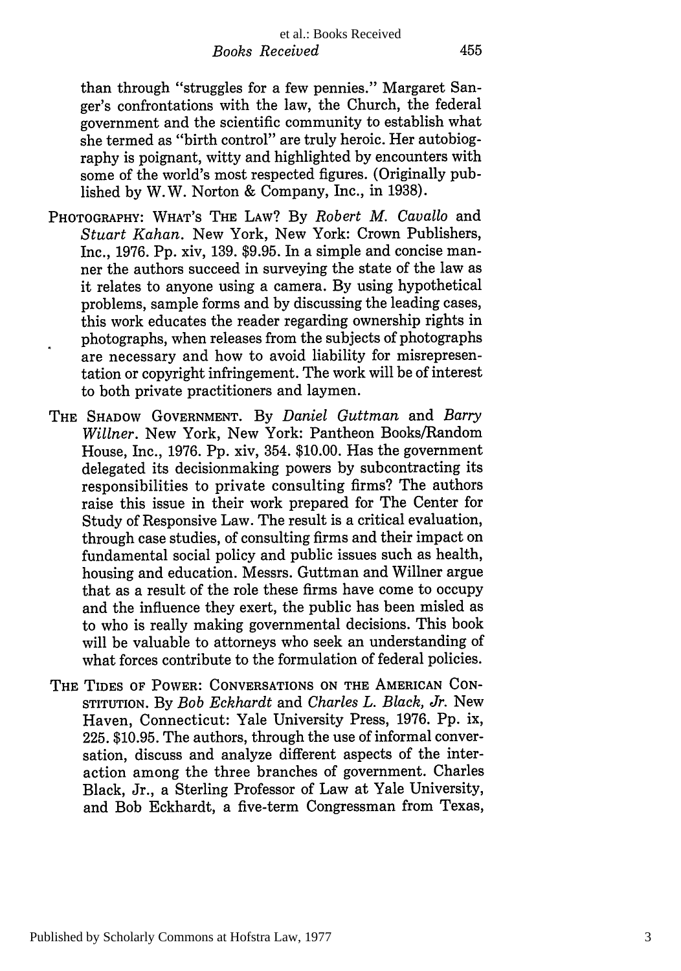455

than through "struggles for a few pennies." Margaret Sanger's confrontations with the law, the Church, the federal government and the scientific community to establish what she termed as "birth control" are truly heroic. Her autobiography is poignant, witty and highlighted by encounters with some of the world's most respected figures. (Originally published by W.W. Norton & Company, Inc., in 1938).

- PHOTOGRAPHY: WHAT'S THE LAW? By *Robert M. Cavallo* and *Stuart Kahan.* New York, New York: Crown Publishers, Inc., 1976. Pp. xiv, 139. \$9.95. In a simple and concise manner the authors succeed in surveying the state of the law as it relates to anyone using a camera. By using hypothetical problems, sample forms and by discussing the leading cases, this work educates the reader regarding ownership rights in photographs, when releases from the subjects of photographs are necessary and how to avoid liability for misrepresentation or copyright infringement. The work will be of interest to both private practitioners and laymen.
- THE SHADOW **GOVERNMENT.** By *Daniel Guttman* and *Barry Wiliner.* New York, New York: Pantheon Books/Random House, Inc., 1976. Pp. xiv, 354. \$10.00. Has the government delegated its decisionmaking powers by subcontracting its responsibilities to private consulting firms? The authors raise this issue in their work prepared for The Center for Study of Responsive Law. The result is a critical evaluation, through case studies, of consulting firms and their impact on fundamental social policy and public issues such as health, housing and education. Messrs. Guttman and Willner argue that as a result of the role these firms have come to occupy and the influence they exert, the public has been misled as to who is really making governmental decisions. This book will be valuable to attorneys who seek an understanding of what forces contribute to the formulation of federal policies.
- THE TIDES OF POWER: CONVERSATIONS ON THE AMERICAN CON-STITUTION. By *Bob Eckhardt* and *Charles L. Black, Jr.* New Haven, Connecticut: Yale University Press, 1976. Pp. ix, 225. \$10.95. The authors, through the use of informal conversation, discuss and analyze different aspects of the interaction among the three branches of government. Charles Black, Jr., a Sterling Professor of Law at Yale University, and Bob Eckhardt, a five-term Congressman from Texas,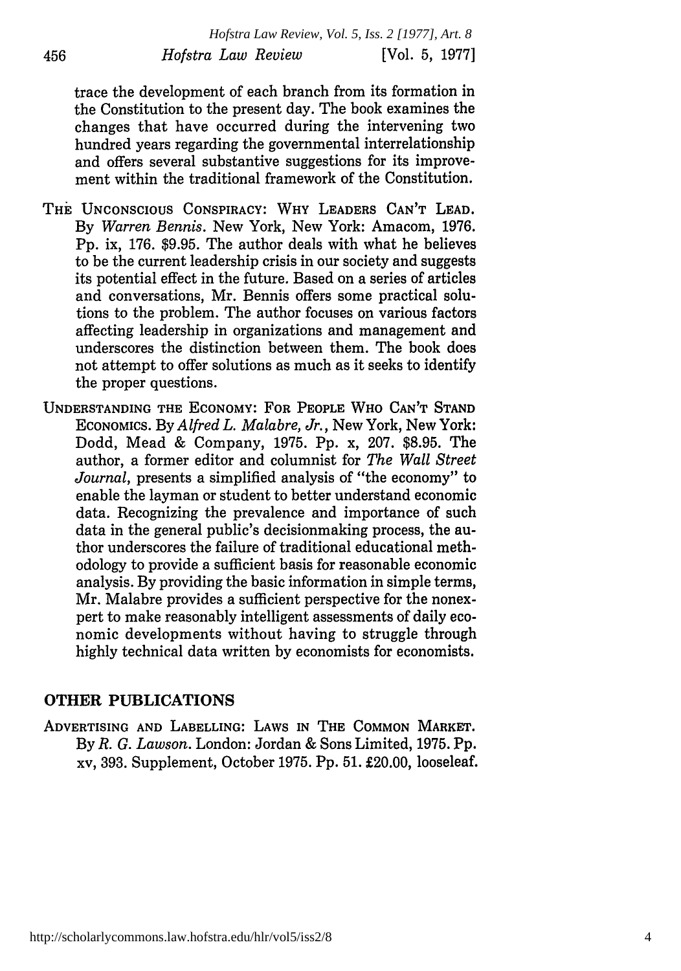trace the development of each branch from its formation in the Constitution to the present day. The book examines the changes that have occurred during the intervening two hundred years regarding the governmental interrelationship and offers several substantive suggestions for its improvement within the traditional framework of the Constitution.

- THE UNCONSCIOUS CONSPIRACY: WHY LEADERS CAN'T LEAD. By *Warren Bennis.* New York, New York: Amacom, 1976. Pp. ix, 176. \$9.95. The author deals with what he believes to be the current leadership crisis in our society and suggests its potential effect in the future. Based on a series of articles and conversations, Mr. Bennis offers some practical solutions to the problem. The author focuses on various factors affecting leadership in organizations and management and underscores the distinction between them. The book does not attempt to offer solutions as much as it seeks to identify the proper questions.
- UNDERSTANDING THE ECONOMY: FOR PEOPLE WHO CAN'T STAND ECONOMICS. By *Alfred L. Malabre, Jr.,* New York, New York: Dodd, Mead & Company, 1975. Pp. x, 207. \$8.95. The author, a former editor and columnist for *The Wall Street Journal,* presents a simplified analysis of "the economy" to enable the layman or student to better understand economic data. Recognizing the prevalence and importance of such data in the general public's decisionmaking process, the author underscores the failure of traditional educational methodology to provide a sufficient basis for reasonable economic analysis. By providing the basic information in simple terms, Mr. Malabre provides a sufficient perspective for the nonexpert to make reasonably intelligent assessments of daily economic developments without having to struggle through highly technical data written by economists for economists.

## OTHER PUBLICATIONS

ADVERTISING **AND LABELLING:** LAWS IN THE **COMMON MARKET. By** *R. G. Lawson.* London: Jordan & Sons Limited, **1975. Pp.** xv, **393.** Supplement, October **1975. Pp. 51.** £20.00, looseleaf.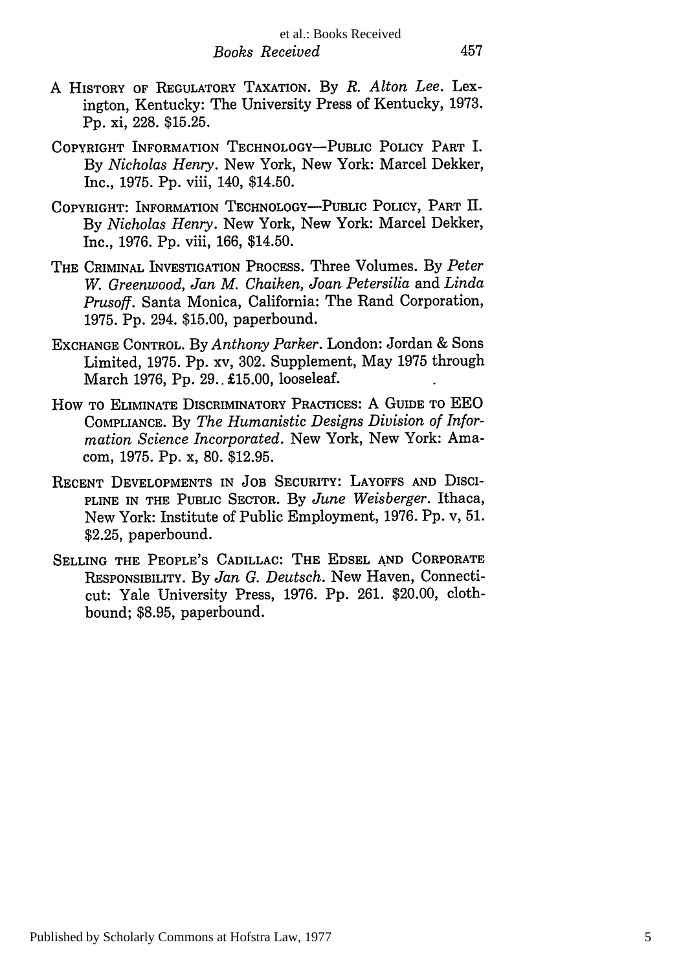457

- A HISTORY OF REGULATORY TAXATION. By *R. Alton Lee.* Lexington, Kentucky: The University Press of Kentucky, 1973. Pp. xi, 228. \$15.25.
- COPYRIGHT INFORMATION TECHNOLOGY-PUBLIC POLICY PART I. By *Nicholas Henry.* New York, New York: Marcel Dekker, Inc., 1975. Pp. viii, 140, \$14.50.
- COPYRIGHT: INFORMATION TECHNOLOGY-PUBLIC POLICY, PART **H.** By *Nicholas Henry.* New York, New York: Marcel Dekker, Inc., 1976. Pp. viii, 166, \$14.50.
- THE CRIMINAL INVESTIGATION PROCESS. Three Volumes. By *Peter W. Greenwood, Jan M. Chaiken, Joan Petersilia* and *Linda Prusoff.* Santa Monica, California: The Rand Corporation, 1975. Pp. 294. \$15.00, paperbound.
- EXCHANGE CONTROL. By *Anthony Parker.* London: Jordan & Sons Limited, 1975. Pp. xv, 302. Supplement, May 1975 through March 1976, Pp. 29.. £15.00, looseleaf.
- How TO ELIMINATE DISCRIMINATORY PRACTICES: A GUIDE TO EEO COMPLIANCE. By *The Humanistic Designs Division of Information Science Incorporated.* New York, New York: Amacom, 1975. Pp. x, 80. \$12.95.
- RECENT DEVELOPMENTS IN JOB SECURITY: LAYOFFS AND DISCI-**PLINE** IN THE **PUBLIC** SECTOR. By *June Weisberger.* Ithaca, New York: Institute of Public Employment, 1976. Pp. v, 51. \$2.25, paperbound.
- SELLING THE **PEOPLE'S** CADILLAC: THE **EDSEL AND** CORPORATE RESPONSIBILITY. By *Jan G. Deutsch.* New Haven, Connecticut: Yale University Press, 1976. Pp. 261. \$20.00, clothbound; \$8.95, paperbound.